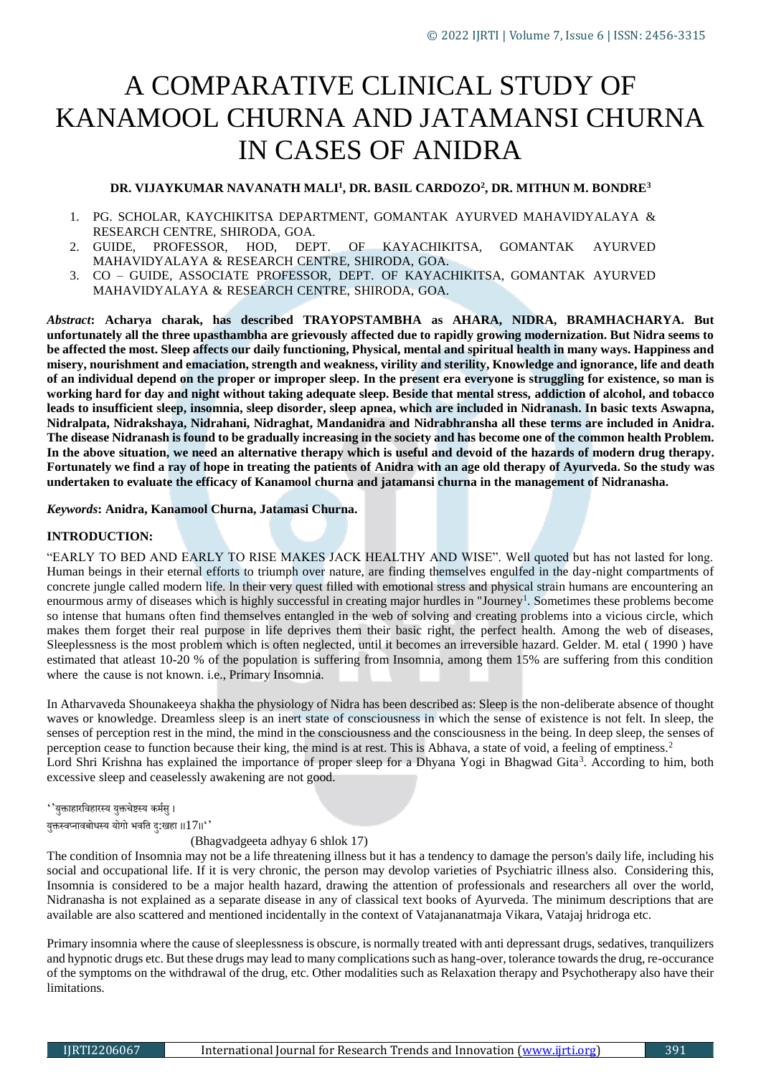# A COMPARATIVE CLINICAL STUDY OF KANAMOOL CHURNA AND JATAMANSI CHURNA IN CASES OF ANIDRA

# **DR. VIJAYKUMAR NAVANATH MALI<sup>1</sup> , DR. BASIL CARDOZO<sup>2</sup> , DR. MITHUN M. BONDRE<sup>3</sup>**

- 1. PG. SCHOLAR, KAYCHIKITSA DEPARTMENT, GOMANTAK AYURVED MAHAVIDYALAYA & RESEARCH CENTRE, SHIRODA, GOA.
- 2. GUIDE, PROFESSOR, HOD, DEPT. OF KAYACHIKITSA, GOMANTAK AYURVED MAHAVIDYALAYA & RESEARCH CENTRE, SHIRODA, GOA.
- 3. CO GUIDE, ASSOCIATE PROFESSOR, DEPT. OF KAYACHIKITSA, GOMANTAK AYURVED MAHAVIDYALAYA & RESEARCH CENTRE, SHIRODA, GOA.

*Abstract***: Acharya charak, has described TRAYOPSTAMBHA as AHARA, NIDRA, BRAMHACHARYA. But unfortunately all the three upasthambha are grievously affected due to rapidly growing modernization. But Nidra seems to be affected the most. Sleep affects our daily functioning, Physical, mental and spiritual health in many ways. Happiness and misery, nourishment and emaciation, strength and weakness, virility and sterility, Knowledge and ignorance, life and death of an individual depend on the proper or improper sleep. In the present era everyone is struggling for existence, so man is working hard for day and night without taking adequate sleep. Beside that mental stress, addiction of alcohol, and tobacco leads to insufficient sleep, insomnia, sleep disorder, sleep apnea, which are included in Nidranash. In basic texts Aswapna, Nidralpata, Nidrakshaya, Nidrahani, Nidraghat, Mandanidra and Nidrabhransha all these terms are included in Anidra. The disease Nidranash is found to be gradually increasing in the society and has become one of the common health Problem. In the above situation, we need an alternative therapy which is useful and devoid of the hazards of modern drug therapy. Fortunately we find a ray of hope in treating the patients of Anidra with an age old therapy of Ayurveda. So the study was undertaken to evaluate the efficacy of Kanamool churna and jatamansi churna in the management of Nidranasha.**

#### *Keywords***: Anidra, Kanamool Churna, Jatamasi Churna.**

#### **INTRODUCTION:**

"EARLY TO BED AND EARLY TO RISE MAKES JACK HEALTHY AND WISE". Well quoted but has not lasted for long. Human beings in their eternal efforts to triumph over nature, are finding themselves engulfed in the day-night compartments of concrete jungle called modern life. ln their very quest filled with emotional stress and physical strain humans are encountering an enourmous army of diseases which is highly successful in creating major hurdles in "Journey<sup>1</sup>. Sometimes these problems become so intense that humans often find themselves entangled in the web of solving and creating problems into a vicious circle, which makes them forget their real purpose in life deprives them their basic right, the perfect health. Among the web of diseases, Sleeplessness is the most problem which is often neglected, until it becomes an irreversible hazard. Gelder. M. etal ( 1990 ) have estimated that atleast 10-20 % of the population is suffering from Insomnia, among them 15% are suffering from this condition where the cause is not known. i.e., Primary Insomnia.

In Atharvaveda Shounakeeya shakha the physiology of Nidra has been described as: Sleep is the non-deliberate absence of thought waves or knowledge. Dreamless sleep is an inert state of consciousness in which the sense of existence is not felt. In sleep, the senses of perception rest in the mind, the mind in the consciousness and the consciousness in the being. In deep sleep, the senses of perception cease to function because their king, the mind is at rest. This is Abhava, a state of void, a feeling of emptiness.<sup>2</sup> Lord Shri Krishna has explained the importance of proper sleep for a Dhyana Yogi in Bhagwad Gita<sup>3</sup>. According to him, both excessive sleep and ceaselessly awakening are not good.

''युक्ताहारविहारस्य युक्तचेष्टस्य कर्सम ु।

युक्तस्वप्नावबोधस्य योगो भवति दु:खहा ।। $17$ ।।''

#### (Bhagvadgeeta adhyay 6 shlok 17)

The condition of Insomnia may not be a life threatening illness but it has a tendency to damage the person's daily life, including his social and occupational life. If it is very chronic, the person may devolop varieties of Psychiatric illness also. Considering this, Insomnia is considered to be a major health hazard, drawing the attention of professionals and researchers all over the world, Nidranasha is not explained as a separate disease in any of classical text books of Ayurveda. The minimum descriptions that are available are also scattered and mentioned incidentally in the context of Vatajananatmaja Vikara, Vatajaj hridroga etc.

Primary insomnia where the cause of sleeplessness is obscure, is normally treated with anti depressant drugs, sedatives, tranquilizers and hypnotic drugs etc. But these drugs may lead to many complications such as hang-over, tolerance towards the drug, re-occurance of the symptoms on the withdrawal of the drug, etc. Other modalities such as Relaxation therapy and Psychotherapy also have their limitations.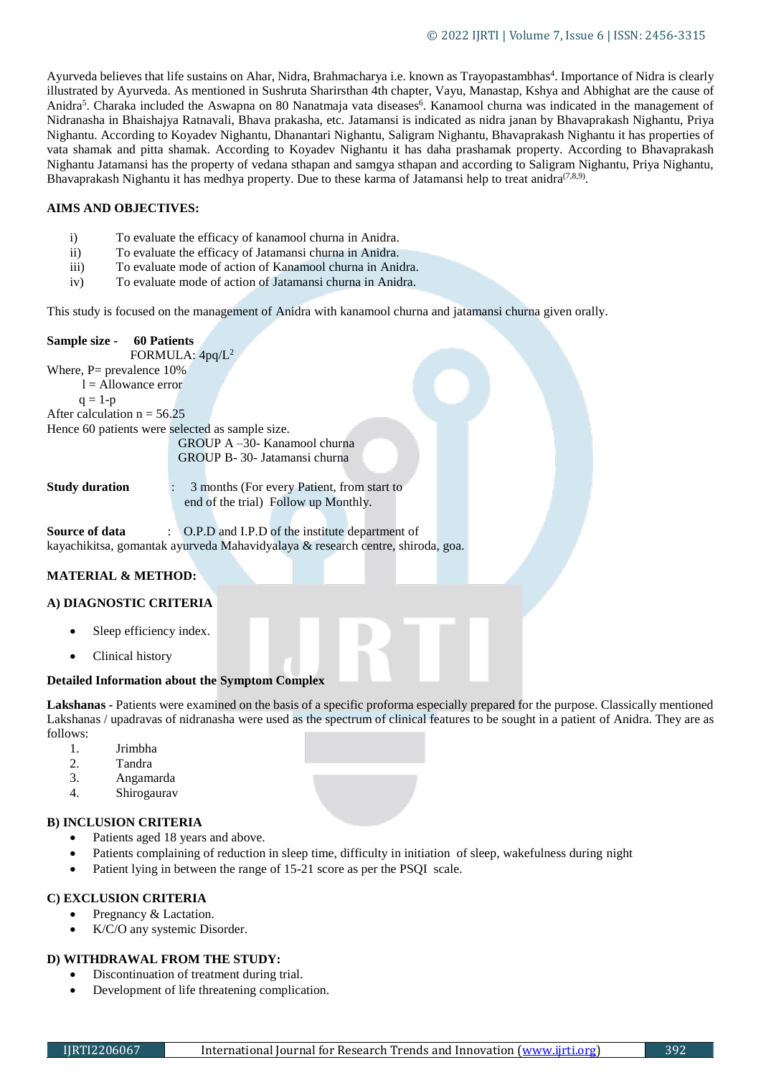Ayurveda believes that life sustains on Ahar, Nidra, Brahmacharya i.e. known as Trayopastambhas<sup>4</sup>. Importance of Nidra is clearly illustrated by Ayurveda. As mentioned in Sushruta Sharirsthan 4th chapter, Vayu, Manastap, Kshya and Abhighat are the cause of Anidra<sup>5</sup>. Charaka included the Aswapna on 80 Nanatmaja vata diseases<sup>6</sup>. Kanamool churna was indicated in the management of Nidranasha in Bhaishajya Ratnavali, Bhava prakasha, etc. Jatamansi is indicated as nidra janan by Bhavaprakash Nighantu, Priya Nighantu. According to Koyadev Nighantu, Dhanantari Nighantu, Saligram Nighantu, Bhavaprakash Nighantu it has properties of vata shamak and pitta shamak. According to Koyadev Nighantu it has daha prashamak property. According to Bhavaprakash Nighantu Jatamansi has the property of vedana sthapan and samgya sthapan and according to Saligram Nighantu, Priya Nighantu, Bhavaprakash Nighantu it has medhya property. Due to these karma of Jatamansi help to treat anidra<sup>(7,8,9)</sup>.

#### **AIMS AND OBJECTIVES:**

- i) To evaluate the efficacy of kanamool churna in Anidra.
- ii) To evaluate the efficacy of Jatamansi churna in Anidra.
- iii) To evaluate mode of action of Kanamool churna in Anidra.
- iv) To evaluate mode of action of Jatamansi churna in Anidra.

This study is focused on the management of Anidra with kanamool churna and jatamansi churna given orally.

#### **Sample size - 60 Patients**

FORMULA: 4pq/L<sup>2</sup>

Where,  $P=$  prevalence 10%  $l =$  Allowance error

 $q = 1-p$ 

After calculation  $n = 56.25$ 

Hence 60 patients were selected as sample size.

GROUP A –30- Kanamool churna GROUP B- 30- Jatamansi churna

**Study duration** : 3 months (For every Patient, from start to end of the trial) Follow up Monthly.

**Source of data** : O.P.D and I.P.D of the institute department of kayachikitsa, gomantak ayurveda Mahavidyalaya & research centre, shiroda, goa.

# **MATERIAL & METHOD:**

# **A) DIAGNOSTIC CRITERIA**

- Sleep efficiency index.
- Clinical history

# **Detailed Information about the Symptom Complex**

**Lakshanas -** Patients were examined on the basis of a specific proforma especially prepared for the purpose. Classically mentioned Lakshanas / upadravas of nidranasha were used as the spectrum of clinical features to be sought in a patient of Anidra. They are as follows:

- 1. Jrimbha
- 2. Tandra
- 3. Angamarda
- 4. Shirogaurav

# **B) INCLUSION CRITERIA**

- Patients aged 18 years and above.
- Patients complaining of reduction in sleep time, difficulty in initiation of sleep, wakefulness during night
- Patient lying in between the range of 15-21 score as per the PSQI scale.

# **C) EXCLUSION CRITERIA**

- Pregnancy & Lactation.
- K/C/O any systemic Disorder.

# **D) WITHDRAWAL FROM THE STUDY:**

- Discontinuation of treatment during trial.
- Development of life threatening complication.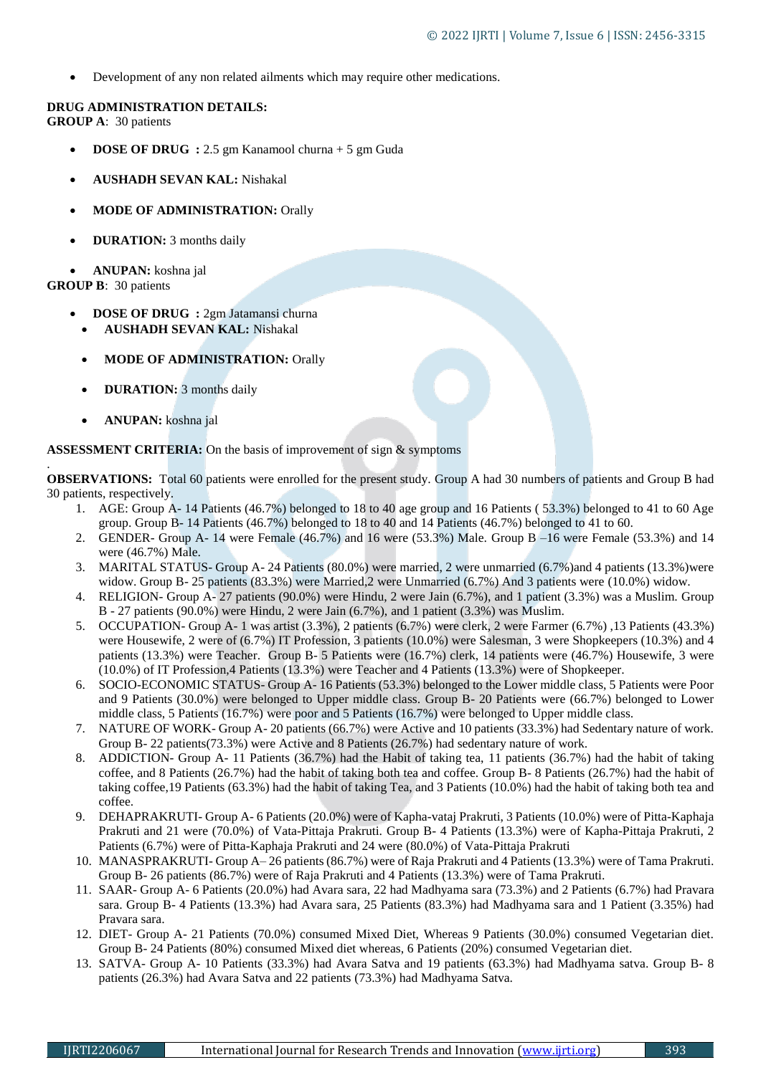Development of any non related ailments which may require other medications.

#### **DRUG ADMINISTRATION DETAILS: GROUP A**: 30 patients

- **DOSE OF DRUG :** 2.5 gm Kanamool churna + 5 gm Guda
- **AUSHADH SEVAN KAL:** Nishakal
- **MODE OF ADMINISTRATION:** Orally
- **DURATION:** 3 months daily

 **ANUPAN:** koshna jal **GROUP B**: 30 patients

- **DOSE OF DRUG** : 2gm Jatamansi churna **AUSHADH SEVAN KAL:** Nishakal
- **MODE OF ADMINISTRATION:** Orally
- **DURATION:** 3 months daily
- **ANUPAN:** koshna jal

.

#### **ASSESSMENT CRITERIA:** On the basis of improvement of sign & symptoms

**OBSERVATIONS:** Total 60 patients were enrolled for the present study. Group A had 30 numbers of patients and Group B had 30 patients, respectively.

- 1. AGE: Group A- 14 Patients (46.7%) belonged to 18 to 40 age group and 16 Patients ( 53.3%) belonged to 41 to 60 Age group. Group B- 14 Patients (46.7%) belonged to 18 to 40 and 14 Patients (46.7%) belonged to 41 to 60.
- 2. GENDER- Group A- 14 were Female (46.7%) and 16 were (53.3%) Male. Group B –16 were Female (53.3%) and 14 were (46.7%) Male.
- 3. MARITAL STATUS- Group A- 24 Patients (80.0%) were married, 2 were unmarried (6.7%)and 4 patients (13.3%)were widow. Group B- 25 patients (83.3%) were Married,2 were Unmarried (6.7%) And 3 patients were (10.0%) widow.
- 4. RELIGION- Group A- 27 patients (90.0%) were Hindu, 2 were Jain (6.7%), and 1 patient (3.3%) was a Muslim. Group B - 27 patients (90.0%) were Hindu, 2 were Jain (6.7%), and 1 patient (3.3%) was Muslim.
- 5. OCCUPATION- Group A- 1 was artist (3.3%), 2 patients (6.7%) were clerk, 2 were Farmer (6.7%) ,13 Patients (43.3%) were Housewife, 2 were of (6.7%) IT Profession, 3 patients (10.0%) were Salesman, 3 were Shopkeepers (10.3%) and 4 patients (13.3%) were Teacher. Group B- 5 Patients were (16.7%) clerk, 14 patients were (46.7%) Housewife, 3 were (10.0%) of IT Profession,4 Patients (13.3%) were Teacher and 4 Patients (13.3%) were of Shopkeeper.
- 6. SOCIO-ECONOMIC STATUS- Group A- 16 Patients (53.3%) belonged to the Lower middle class, 5 Patients were Poor and 9 Patients (30.0%) were belonged to Upper middle class. Group B- 20 Patients were (66.7%) belonged to Lower middle class, 5 Patients (16.7%) were poor and 5 Patients (16.7%) were belonged to Upper middle class.
- 7. NATURE OF WORK- Group A- 20 patients (66.7%) were Active and 10 patients (33.3%) had Sedentary nature of work. Group B- 22 patients(73.3%) were Active and 8 Patients (26.7%) had sedentary nature of work.
- 8. ADDICTION- Group A- 11 Patients (36.7%) had the Habit of taking tea, 11 patients (36.7%) had the habit of taking coffee, and 8 Patients (26.7%) had the habit of taking both tea and coffee. Group B- 8 Patients (26.7%) had the habit of taking coffee,19 Patients (63.3%) had the habit of taking Tea, and 3 Patients (10.0%) had the habit of taking both tea and coffee.
- 9. DEHAPRAKRUTI- Group A- 6 Patients (20.0%) were of Kapha-vataj Prakruti, 3 Patients (10.0%) were of Pitta-Kaphaja Prakruti and 21 were (70.0%) of Vata-Pittaja Prakruti. Group B- 4 Patients (13.3%) were of Kapha-Pittaja Prakruti, 2 Patients (6.7%) were of Pitta-Kaphaja Prakruti and 24 were (80.0%) of Vata-Pittaja Prakruti
- 10. MANASPRAKRUTI- Group A– 26 patients (86.7%) were of Raja Prakruti and 4 Patients (13.3%) were of Tama Prakruti. Group B- 26 patients (86.7%) were of Raja Prakruti and 4 Patients (13.3%) were of Tama Prakruti.
- 11. SAAR- Group A- 6 Patients (20.0%) had Avara sara, 22 had Madhyama sara (73.3%) and 2 Patients (6.7%) had Pravara sara. Group B- 4 Patients (13.3%) had Avara sara, 25 Patients (83.3%) had Madhyama sara and 1 Patient (3.35%) had Pravara sara.
- 12. DIET- Group A- 21 Patients (70.0%) consumed Mixed Diet, Whereas 9 Patients (30.0%) consumed Vegetarian diet. Group B- 24 Patients (80%) consumed Mixed diet whereas, 6 Patients (20%) consumed Vegetarian diet.
- 13. SATVA- Group A- 10 Patients (33.3%) had Avara Satva and 19 patients (63.3%) had Madhyama satva. Group B- 8 patients (26.3%) had Avara Satva and 22 patients (73.3%) had Madhyama Satva.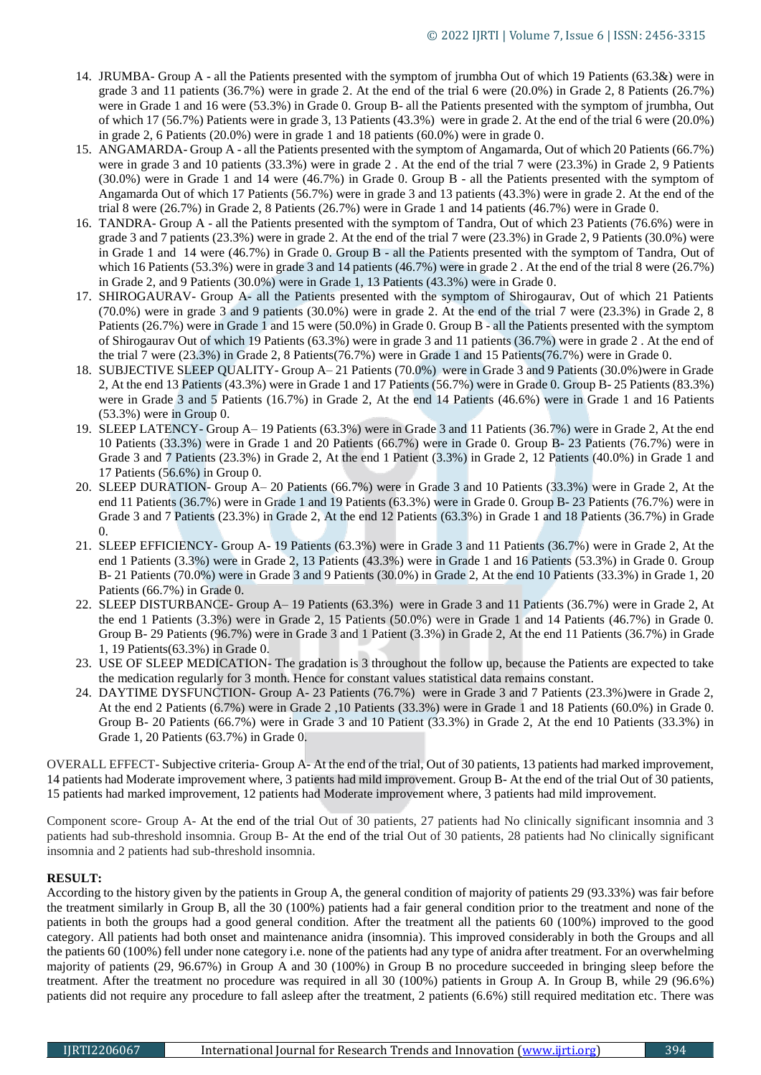- 14. JRUMBA- Group A all the Patients presented with the symptom of jrumbha Out of which 19 Patients (63.3&) were in grade 3 and 11 patients (36.7%) were in grade 2. At the end of the trial 6 were (20.0%) in Grade 2, 8 Patients (26.7%) were in Grade 1 and 16 were (53.3%) in Grade 0. Group B- all the Patients presented with the symptom of jrumbha, Out of which 17 (56.7%) Patients were in grade 3, 13 Patients (43.3%) were in grade 2. At the end of the trial 6 were (20.0%) in grade 2, 6 Patients (20.0%) were in grade 1 and 18 patients (60.0%) were in grade 0.
- 15. ANGAMARDA- Group A all the Patients presented with the symptom of Angamarda, Out of which 20 Patients (66.7%) were in grade 3 and 10 patients (33.3%) were in grade 2 . At the end of the trial 7 were (23.3%) in Grade 2, 9 Patients (30.0%) were in Grade 1 and 14 were (46.7%) in Grade 0. Group B - all the Patients presented with the symptom of Angamarda Out of which 17 Patients (56.7%) were in grade 3 and 13 patients (43.3%) were in grade 2. At the end of the trial 8 were (26.7%) in Grade 2, 8 Patients (26.7%) were in Grade 1 and 14 patients (46.7%) were in Grade 0.
- 16. TANDRA- Group A all the Patients presented with the symptom of Tandra, Out of which 23 Patients (76.6%) were in grade 3 and 7 patients (23.3%) were in grade 2. At the end of the trial 7 were (23.3%) in Grade 2, 9 Patients (30.0%) were in Grade 1 and 14 were (46.7%) in Grade 0. Group B - all the Patients presented with the symptom of Tandra, Out of which 16 Patients (53.3%) were in grade 3 and 14 patients (46.7%) were in grade 2. At the end of the trial 8 were (26.7%) in Grade 2, and 9 Patients (30.0%) were in Grade 1, 13 Patients (43.3%) were in Grade 0.
- 17. SHIROGAURAV- Group A- all the Patients presented with the symptom of Shirogaurav, Out of which 21 Patients (70.0%) were in grade 3 and 9 patients (30.0%) were in grade 2. At the end of the trial 7 were (23.3%) in Grade 2, 8 Patients (26.7%) were in Grade 1 and 15 were (50.0%) in Grade 0. Group B - all the Patients presented with the symptom of Shirogaurav Out of which 19 Patients (63.3%) were in grade 3 and 11 patients (36.7%) were in grade 2 . At the end of the trial 7 were (23.3%) in Grade 2, 8 Patients(76.7%) were in Grade 1 and 15 Patients(76.7%) were in Grade 0.
- 18. SUBJECTIVE SLEEP QUALITY- Group A– 21 Patients (70.0%) were in Grade 3 and 9 Patients (30.0%)were in Grade 2, At the end 13 Patients (43.3%) were in Grade 1 and 17 Patients (56.7%) were in Grade 0. Group B- 25 Patients (83.3%) were in Grade 3 and 5 Patients (16.7%) in Grade 2, At the end 14 Patients (46.6%) were in Grade 1 and 16 Patients (53.3%) were in Group 0.
- 19. SLEEP LATENCY- Group A– 19 Patients (63.3%) were in Grade 3 and 11 Patients (36.7%) were in Grade 2, At the end 10 Patients (33.3%) were in Grade 1 and 20 Patients (66.7%) were in Grade 0. Group B- 23 Patients (76.7%) were in Grade 3 and 7 Patients (23.3%) in Grade 2, At the end 1 Patient (3.3%) in Grade 2, 12 Patients (40.0%) in Grade 1 and 17 Patients (56.6%) in Group 0.
- 20. SLEEP DURATION- Group A– 20 Patients (66.7%) were in Grade 3 and 10 Patients (33.3%) were in Grade 2, At the end 11 Patients (36.7%) were in Grade 1 and 19 Patients (63.3%) were in Grade 0. Group B- 23 Patients (76.7%) were in Grade 3 and 7 Patients (23.3%) in Grade 2, At the end 12 Patients (63.3%) in Grade 1 and 18 Patients (36.7%) in Grade  $\Omega$
- 21. SLEEP EFFICIENCY- Group A- 19 Patients (63.3%) were in Grade 3 and 11 Patients (36.7%) were in Grade 2, At the end 1 Patients (3.3%) were in Grade 2, 13 Patients (43.3%) were in Grade 1 and 16 Patients (53.3%) in Grade 0. Group B- 21 Patients (70.0%) were in Grade 3 and 9 Patients (30.0%) in Grade 2, At the end 10 Patients (33.3%) in Grade 1, 20 Patients (66.7%) in Grade 0.
- 22. SLEEP DISTURBANCE- Group A– 19 Patients (63.3%) were in Grade 3 and 11 Patients (36.7%) were in Grade 2, At the end 1 Patients (3.3%) were in Grade 2, 15 Patients (50.0%) were in Grade 1 and 14 Patients (46.7%) in Grade 0. Group B- 29 Patients (96.7%) were in Grade 3 and 1 Patient (3.3%) in Grade 2, At the end 11 Patients (36.7%) in Grade 1, 19 Patients(63.3%) in Grade 0.
- 23. USE OF SLEEP MEDICATION- The gradation is 3 throughout the follow up, because the Patients are expected to take the medication regularly for 3 month. Hence for constant values statistical data remains constant.
- 24. DAYTIME DYSFUNCTION- Group A- 23 Patients (76.7%) were in Grade 3 and 7 Patients (23.3%)were in Grade 2, At the end 2 Patients (6.7%) were in Grade 2 ,10 Patients (33.3%) were in Grade 1 and 18 Patients (60.0%) in Grade 0. Group B- 20 Patients (66.7%) were in Grade 3 and 10 Patient (33.3%) in Grade 2, At the end 10 Patients (33.3%) in Grade 1, 20 Patients (63.7%) in Grade 0.

OVERALL EFFECT- Subjective criteria- Group A- At the end of the trial, Out of 30 patients, 13 patients had marked improvement, 14 patients had Moderate improvement where, 3 patients had mild improvement. Group B- At the end of the trial Out of 30 patients, 15 patients had marked improvement, 12 patients had Moderate improvement where, 3 patients had mild improvement.

Component score- Group A- At the end of the trial Out of 30 patients, 27 patients had No clinically significant insomnia and 3 patients had sub-threshold insomnia. Group B- At the end of the trial Out of 30 patients, 28 patients had No clinically significant insomnia and 2 patients had sub-threshold insomnia.

# **RESULT:**

According to the history given by the patients in Group A, the general condition of majority of patients 29 (93.33%) was fair before the treatment similarly in Group B, all the 30 (100%) patients had a fair general condition prior to the treatment and none of the patients in both the groups had a good general condition. After the treatment all the patients 60 (100%) improved to the good category. All patients had both onset and maintenance anidra (insomnia). This improved considerably in both the Groups and all the patients 60 (100%) fell under none category i.e. none of the patients had any type of anidra after treatment. For an overwhelming majority of patients (29, 96.67%) in Group A and 30 (100%) in Group B no procedure succeeded in bringing sleep before the treatment. After the treatment no procedure was required in all 30 (100%) patients in Group A. In Group B, while 29 (96.6%) patients did not require any procedure to fall asleep after the treatment, 2 patients (6.6%) still required meditation etc. There was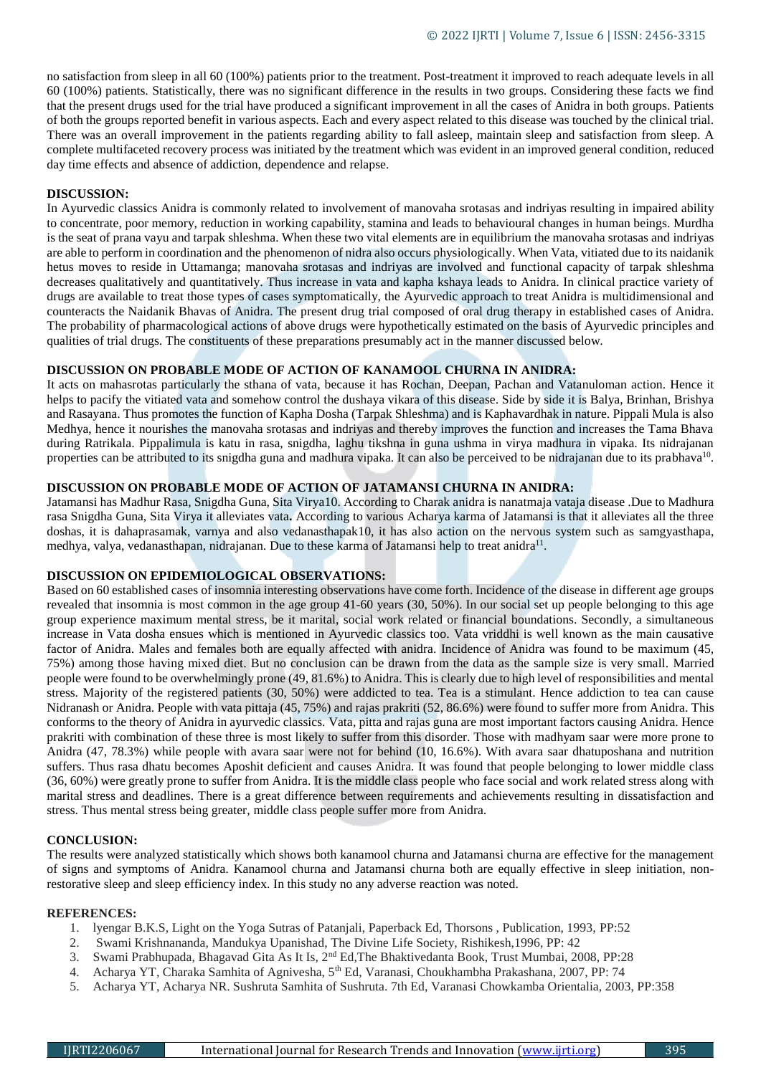no satisfaction from sleep in all 60 (100%) patients prior to the treatment. Post-treatment it improved to reach adequate levels in all 60 (100%) patients. Statistically, there was no significant difference in the results in two groups. Considering these facts we find that the present drugs used for the trial have produced a significant improvement in all the cases of Anidra in both groups. Patients of both the groups reported benefit in various aspects. Each and every aspect related to this disease was touched by the clinical trial. There was an overall improvement in the patients regarding ability to fall asleep, maintain sleep and satisfaction from sleep. A complete multifaceted recovery process was initiated by the treatment which was evident in an improved general condition, reduced day time effects and absence of addiction, dependence and relapse.

#### **DISCUSSION:**

In Ayurvedic classics Anidra is commonly related to involvement of manovaha srotasas and indriyas resulting in impaired ability to concentrate, poor memory, reduction in working capability, stamina and leads to behavioural changes in human beings. Murdha is the seat of prana vayu and tarpak shleshma. When these two vital elements are in equilibrium the manovaha srotasas and indriyas are able to perform in coordination and the phenomenon of nidra also occurs physiologically. When Vata, vitiated due to its naidanik hetus moves to reside in Uttamanga; manovaha srotasas and indriyas are involved and functional capacity of tarpak shleshma decreases qualitatively and quantitatively. Thus increase in vata and kapha kshaya leads to Anidra. In clinical practice variety of drugs are available to treat those types of cases symptomatically, the Ayurvedic approach to treat Anidra is multidimensional and counteracts the Naidanik Bhavas of Anidra. The present drug trial composed of oral drug therapy in established cases of Anidra. The probability of pharmacological actions of above drugs were hypothetically estimated on the basis of Ayurvedic principles and qualities of trial drugs. The constituents of these preparations presumably act in the manner discussed below.

# **DISCUSSION ON PROBABLE MODE OF ACTION OF KANAMOOL CHURNA IN ANIDRA:**

It acts on mahasrotas particularly the sthana of vata, because it has Rochan, Deepan, Pachan and Vatanuloman action. Hence it helps to pacify the vitiated vata and somehow control the dushaya vikara of this disease. Side by side it is Balya, Brinhan, Brishya and Rasayana. Thus promotes the function of Kapha Dosha (Tarpak Shleshma) and is Kaphavardhak in nature. Pippali Mula is also Medhya, hence it nourishes the manovaha srotasas and indriyas and thereby improves the function and increases the Tama Bhava during Ratrikala. Pippalimula is katu in rasa, snigdha, laghu tikshna in guna ushma in virya madhura in vipaka. Its nidrajanan properties can be attributed to its snigdha guna and madhura vipaka. It can also be perceived to be nidrajanan due to its prabhava<sup>10</sup>.

# **DISCUSSION ON PROBABLE MODE OF ACTION OF JATAMANSI CHURNA IN ANIDRA:**

Jatamansi has Madhur Rasa, Snigdha Guna, Sita Virya10. According to Charak anidra is nanatmaja vataja disease .Due to Madhura rasa Snigdha Guna, Sita Virya it alleviates vata**.** According to various Acharya karma of Jatamansi is that it alleviates all the three doshas, it is dahaprasamak, varnya and also vedanasthapak10, it has also action on the nervous system such as samgyasthapa, medhya, valya, vedanasthapan, nidrajanan. Due to these karma of Jatamansi help to treat anidra<sup>11</sup>.

# **DISCUSSION ON EPIDEMIOLOGICAL OBSERVATIONS:**

Based on 60 established cases of insomnia interesting observations have come forth. Incidence of the disease in different age groups revealed that insomnia is most common in the age group 41-60 years (30, 50%). In our social set up people belonging to this age group experience maximum mental stress, be it marital, social work related or financial boundations. Secondly, a simultaneous increase in Vata dosha ensues which is mentioned in Ayurvedic classics too. Vata vriddhi is well known as the main causative factor of Anidra. Males and females both are equally affected with anidra. Incidence of Anidra was found to be maximum (45, 75%) among those having mixed diet. But no conclusion can be drawn from the data as the sample size is very small. Married people were found to be overwhelmingly prone (49, 81.6%) to Anidra. This is clearly due to high level of responsibilities and mental stress. Majority of the registered patients (30, 50%) were addicted to tea. Tea is a stimulant. Hence addiction to tea can cause Nidranash or Anidra. People with vata pittaja (45, 75%) and rajas prakriti (52, 86.6%) were found to suffer more from Anidra. This conforms to the theory of Anidra in ayurvedic classics. Vata, pitta and rajas guna are most important factors causing Anidra. Hence prakriti with combination of these three is most likely to suffer from this disorder. Those with madhyam saar were more prone to Anidra (47, 78.3%) while people with avara saar were not for behind (10, 16.6%). With avara saar dhatuposhana and nutrition suffers. Thus rasa dhatu becomes Aposhit deficient and causes Anidra. It was found that people belonging to lower middle class (36, 60%) were greatly prone to suffer from Anidra. It is the middle class people who face social and work related stress along with marital stress and deadlines. There is a great difference between requirements and achievements resulting in dissatisfaction and stress. Thus mental stress being greater, middle class people suffer more from Anidra.

#### **CONCLUSION:**

The results were analyzed statistically which shows both kanamool churna and Jatamansi churna are effective for the management of signs and symptoms of Anidra. Kanamool churna and Jatamansi churna both are equally effective in sleep initiation, nonrestorative sleep and sleep efficiency index. In this study no any adverse reaction was noted.

# **REFERENCES:**

- 1. lyengar B.K.S, Light on the Yoga Sutras of Patanjali, Paperback Ed, Thorsons , Publication, 1993, PP:52
- 2. Swami Krishnananda, Mandukya Upanishad, The Divine Life Society, Rishikesh,1996, PP: 42
- 3. Swami Prabhupada, Bhagavad Gita As It Is, 2nd Ed,The Bhaktivedanta Book, Trust Mumbai, 2008, PP:28
- 4. Acharya YT, Charaka Samhita of Agnivesha, 5th Ed, Varanasi, Choukhambha Prakashana, 2007, PP: 74
- 5. Acharya YT, Acharya NR. Sushruta Samhita of Sushruta. 7th Ed, Varanasi Chowkamba Orientalia, 2003, PP:358